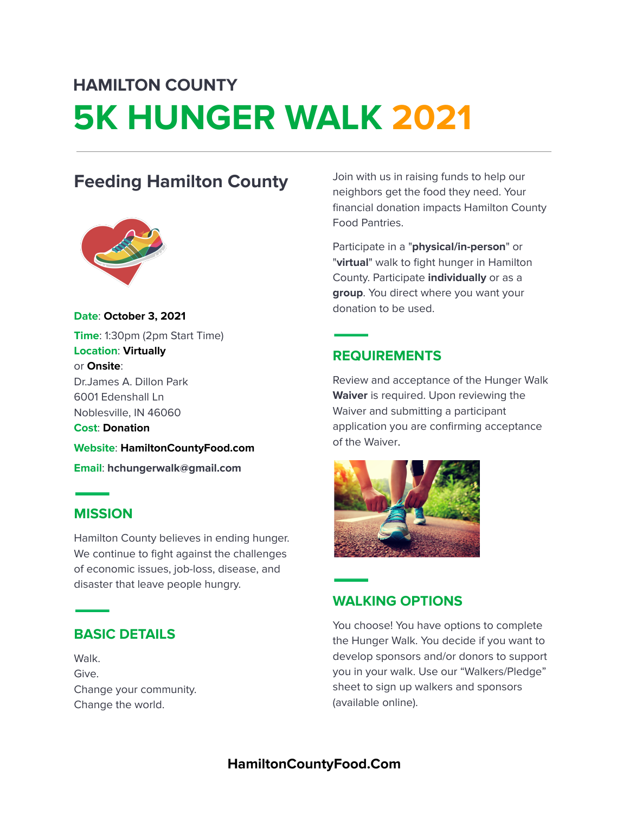# **HAMILTON COUNTY 5K HUNGER WALK 2021**

## **Feeding Hamilton County**



**Date**: **October 3, 2021 Time**: 1:30pm (2pm Start Time) **Location**: **Virtually** or **Onsite**: Dr.James A. Dillon Park 6001 Edenshall Ln Noblesville, IN 46060 **Cost**: **Donation Website**: **HamiltonCountyFood.com**

**Email**: **hchungerwalk@gmail.com**

#### **MISSION**

Hamilton County believes in ending hunger. We continue to fight against the challenges of economic issues, job-loss, disease, and disaster that leave people hungry.

## **BASIC DETAILS**

Walk. Give. Change your community. Change the world.

Join with us in raising funds to help our neighbors get the food they need. Your financial donation impacts Hamilton County Food Pantries.

Participate in a "**physical/in-person**" or "**virtual**" walk to fight hunger in Hamilton County. Participate **individually** or as a **group**. You direct where you want your donation to be used.

## **REQUIREMENTS**

Review and acceptance of the Hunger Walk **Waiver** is required. Upon reviewing the Waiver and submitting a participant application you are confirming acceptance of the Waiver.



## **WALKING OPTIONS**

You choose! You have options to complete the Hunger Walk. You decide if you want to develop sponsors and/or donors to support you in your walk. Use our "Walkers/Pledge" sheet to sign up walkers and sponsors (available online).

#### **HamiltonCountyFood.Com**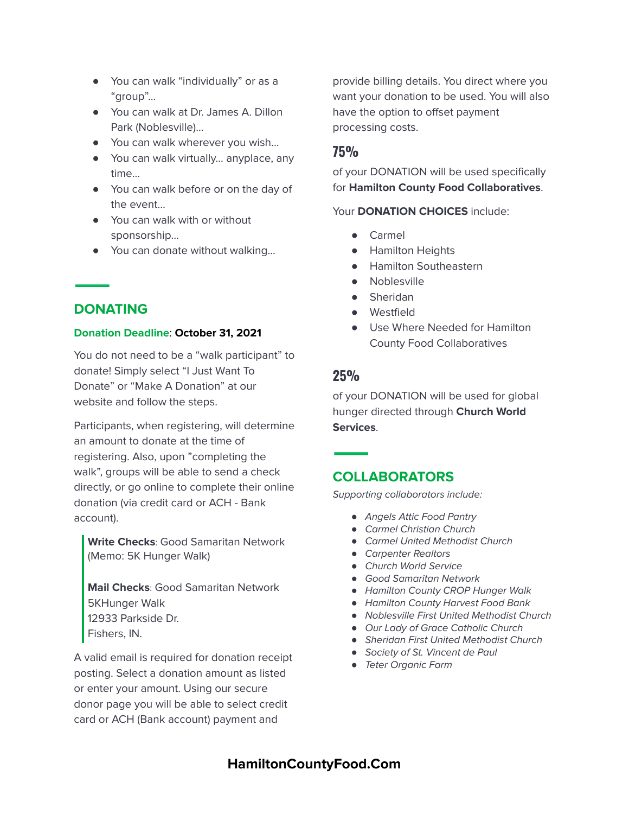- You can walk "individually" or as a "group"...
- You can walk at Dr. James A. Dillon Park (Noblesville)...
- You can walk wherever you wish...
- You can walk virtually... anyplace, any time...
- You can walk before or on the day of the event…
- You can walk with or without sponsorship…
- You can donate without walking...

## **DONATING**

#### **Donation Deadline**: **October 31, 2021**

You do not need to be a "walk participant" to donate! Simply select "I Just Want To Donate" or "Make A Donation" at our website and follow the steps.

Participants, when registering, will determine an amount to donate at the time of registering. Also, upon "completing the walk", groups will be able to send a check directly, or go online to complete their online donation (via credit card or ACH - Bank account).

**Write Checks**: Good Samaritan Network (Memo: 5K Hunger Walk)

**Mail Checks**: Good Samaritan Network 5KHunger Walk 12933 Parkside Dr. Fishers, IN.

A valid email is required for donation receipt posting. Select a donation amount as listed or enter your amount. Using our secure donor page you will be able to select credit card or ACH (Bank account) payment and

provide billing details. You direct where you want your donation to be used. You will also have the option to offset payment processing costs.

## **75%**

of your DONATION will be used specifically for **Hamilton County Food Collaboratives**.

Your **DONATION CHOICES** include:

- Carmel
- Hamilton Heights
- **Hamilton Southeastern**
- Noblesville
- Sheridan
- Westfield
- Use Where Needed for Hamilton County Food Collaboratives

## **25%**

of your DONATION will be used for global hunger directed through **Church World Services**.

## **COLLABORATORS**

Supporting collaborators include:

- *●* Angels Attic Food Pantry
- *●* Carmel Christian Church
- *●* Carmel United Methodist Church
- *●* Carpenter Realtors
- *●* Church World Service
- *●* Good Samaritan Network
- *●* Hamilton County CROP Hunger Walk
- *●* Hamilton County Harvest Food Bank
- *●* Noblesville First United Methodist Church
- *●* Our Lady of Grace Catholic Church
- *●* Sheridan First United Methodist Church
- *●* Society of St. Vincent de Paul
- *●* Teter Organic Farm

## **HamiltonCountyFood.Com**